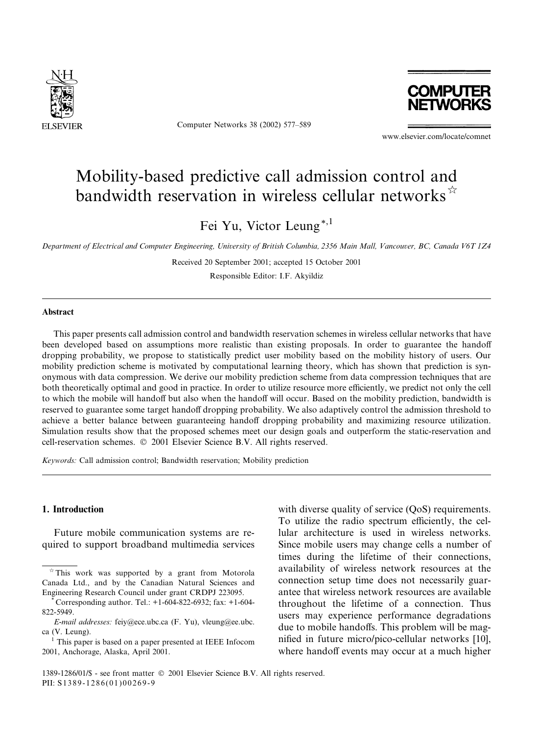

Computer Networks 38 (2002) 577–589



www.elsevier.com/locate/comnet

# Mobility-based predictive call admission control and bandwidth reservation in wireless cellular networks $\hat{z}$

Fei Yu, Victor Leung\*,1

Department of Electrical and Computer Engineering, University of British Columbia, 2356 Main Mall, Vancouver, BC, Canada V6T 1Z4

Received 20 September 2001; accepted 15 October 2001

Responsible Editor: I.F. Akyildiz

# Abstract

This paper presents call admission control and bandwidth reservation schemes in wireless cellular networks that have been developed based on assumptions more realistic than existing proposals. In order to guarantee the handoff dropping probability, we propose to statistically predict user mobility based on the mobility history of users. Our mobility prediction scheme is motivated by computational learning theory, which has shown that prediction is synonymous with data compression. We derive our mobility prediction scheme from data compression techniques that are both theoretically optimal and good in practice. In order to utilize resource more efficiently, we predict not only the cell to which the mobile will handoff but also when the handoff will occur. Based on the mobility prediction, bandwidth is reserved to guarantee some target handoff dropping probability. We also adaptively control the admission threshold to achieve a better balance between guaranteeing handoff dropping probability and maximizing resource utilization. Simulation results show that the proposed schemes meet our design goals and outperform the static-reservation and cell-reservation schemes.  $\oslash$  2001 Elsevier Science B.V. All rights reserved.

Keywords: Call admission control; Bandwidth reservation; Mobility prediction

#### 1. Introduction

Future mobile communication systems are required to support broadband multimedia services with diverse quality of service (QoS) requirements. To utilize the radio spectrum efficiently, the cellular architecture is used in wireless networks. Since mobile users may change cells a number of times during the lifetime of their connections, availability of wireless network resources at the connection setup time does not necessarily guarantee that wireless network resources are available throughout the lifetime of a connection. Thus users may experience performance degradations due to mobile handoffs. This problem will be magnified in future micro/pico-cellular networks [10], where handoff events may occur at a much higher

 $*$  This work was supported by a grant from Motorola Canada Ltd., and by the Canadian Natural Sciences and Engineering Research Council under grant CRDPJ 223095. \* Corresponding author. Tel.: +1-604-822-6932; fax: +1-604-

<sup>822-5949.</sup>

E-mail addresses: feiy@ece.ubc.ca (F. Yu), vleung@ee.ubc. ca (V. Leung).

<sup>1</sup> This paper is based on a paper presented at IEEE Infocom 2001, Anchorage, Alaska, April 2001.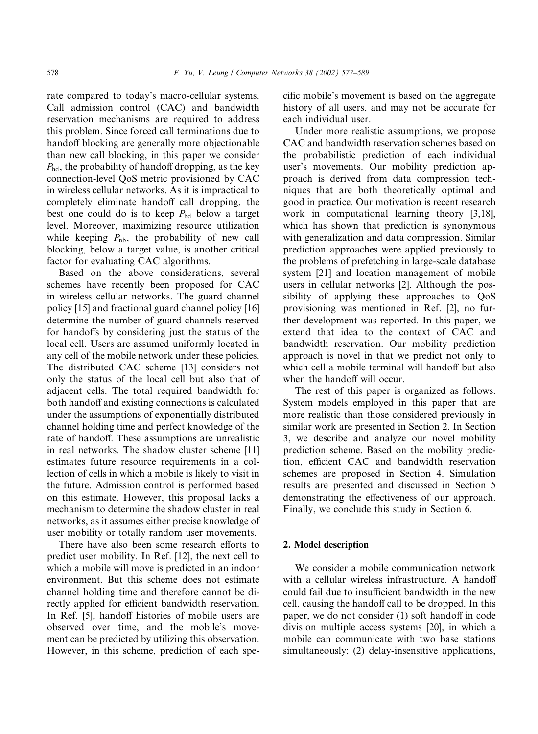rate compared to today's macro-cellular systems. Call admission control (CAC) and bandwidth reservation mechanisms are required to address this problem. Since forced call terminations due to handoff blocking are generally more objectionable than new call blocking, in this paper we consider  $P_{\text{hd}}$ , the probability of handoff dropping, as the key connection-level QoS metric provisioned by CAC in wireless cellular networks. As it is impractical to completely eliminate handoff call dropping, the best one could do is to keep  $P_{\text{hd}}$  below a target level. Moreover, maximizing resource utilization while keeping  $P_{\text{nb}}$ , the probability of new call blocking, below a target value, is another critical factor for evaluating CAC algorithms.

Based on the above considerations, several schemes have recently been proposed for CAC in wireless cellular networks. The guard channel policy [15] and fractional guard channel policy [16] determine the number of guard channels reserved for handoffs by considering just the status of the local cell. Users are assumed uniformly located in any cell of the mobile network under these policies. The distributed CAC scheme [13] considers not only the status of the local cell but also that of adjacent cells. The total required bandwidth for both handoff and existing connections is calculated under the assumptions of exponentially distributed channel holding time and perfect knowledge of the rate of handoff. These assumptions are unrealistic in real networks. The shadow cluster scheme [11] estimates future resource requirements in a collection of cells in which a mobile is likely to visit in the future. Admission control is performed based on this estimate. However, this proposal lacks a mechanism to determine the shadow cluster in real networks, as it assumes either precise knowledge of user mobility or totally random user movements.

There have also been some research efforts to predict user mobility. In Ref. [12], the next cell to which a mobile will move is predicted in an indoor environment. But this scheme does not estimate channel holding time and therefore cannot be directly applied for efficient bandwidth reservation. In Ref. [5], handoff histories of mobile users are observed over time, and the mobile's movement can be predicted by utilizing this observation. However, in this scheme, prediction of each specific mobile's movement is based on the aggregate history of all users, and may not be accurate for each individual user.

Under more realistic assumptions, we propose CAC and bandwidth reservation schemes based on the probabilistic prediction of each individual user's movements. Our mobility prediction approach is derived from data compression techniques that are both theoretically optimal and good in practice. Our motivation is recent research work in computational learning theory [3,18], which has shown that prediction is synonymous with generalization and data compression. Similar prediction approaches were applied previously to the problems of prefetching in large-scale database system [21] and location management of mobile users in cellular networks [2]. Although the possibility of applying these approaches to QoS provisioning was mentioned in Ref. [2], no further development was reported. In this paper, we extend that idea to the context of CAC and bandwidth reservation. Our mobility prediction approach is novel in that we predict not only to which cell a mobile terminal will handoff but also when the handoff will occur.

The rest of this paper is organized as follows. System models employed in this paper that are more realistic than those considered previously in similar work are presented in Section 2. In Section 3, we describe and analyze our novel mobility prediction scheme. Based on the mobility prediction, efficient CAC and bandwidth reservation schemes are proposed in Section 4. Simulation results are presented and discussed in Section 5 demonstrating the effectiveness of our approach. Finally, we conclude this study in Section 6.

# 2. Model description

We consider a mobile communication network with a cellular wireless infrastructure. A handoff could fail due to insufficient bandwidth in the new cell, causing the handoff call to be dropped. In this paper, we do not consider (1) soft handoff in code division multiple access systems [20], in which a mobile can communicate with two base stations simultaneously; (2) delay-insensitive applications,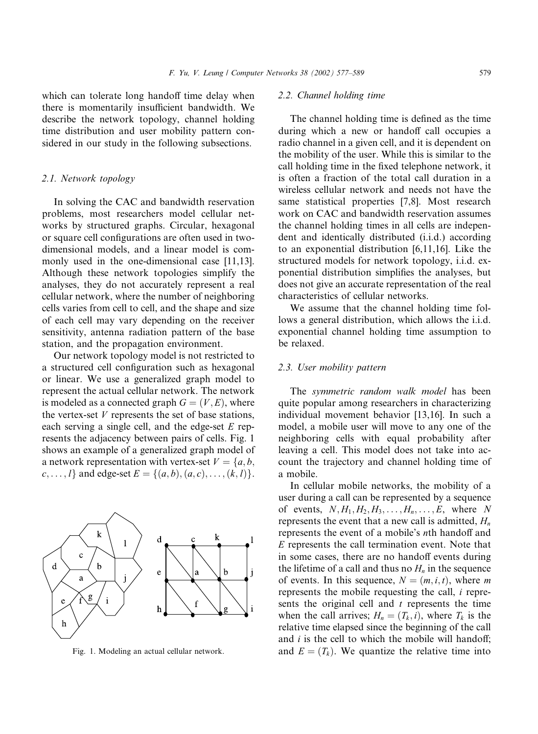which can tolerate long handoff time delay when there is momentarily insufficient bandwidth. We describe the network topology, channel holding time distribution and user mobility pattern considered in our study in the following subsections.

#### 2.1. Network topology

In solving the CAC and bandwidth reservation problems, most researchers model cellular networks by structured graphs. Circular, hexagonal or square cell configurations are often used in twodimensional models, and a linear model is commonly used in the one-dimensional case [11,13]. Although these network topologies simplify the analyses, they do not accurately represent a real cellular network, where the number of neighboring cells varies from cell to cell, and the shape and size of each cell may vary depending on the receiver sensitivity, antenna radiation pattern of the base station, and the propagation environment.

Our network topology model is not restricted to a structured cell configuration such as hexagonal or linear. We use a generalized graph model to represent the actual cellular network. The network is modeled as a connected graph  $G = (V, E)$ , where the vertex-set  $V$  represents the set of base stations, each serving a single cell, and the edge-set  $E$  represents the adjacency between pairs of cells. Fig. 1 shows an example of a generalized graph model of a network representation with vertex-set  $V = \{a, b, \dots\}$  $c, \ldots, l$  and edge-set  $E = \{(a, b), (a, c), \ldots, (k, l)\}.$ 

#### ${\bf k}$  $\mathbf d$  $\mathbf{1}$  $\ddot{c}$  ${\bf d}$  $\mathbf b$  $\mathbf b$ e a a  $\mathbf{i}$  $\mathbf{g}$ e

# 2.2. Channel holding time

The channel holding time is defined as the time during which a new or handoff call occupies a radio channel in a given cell, and it is dependent on the mobility of the user. While this is similar to the call holding time in the fixed telephone network, it is often a fraction of the total call duration in a wireless cellular network and needs not have the same statistical properties [7,8]. Most research work on CAC and bandwidth reservation assumes the channel holding times in all cells are independent and identically distributed (i.i.d.) according to an exponential distribution [6,11,16]. Like the structured models for network topology, i.i.d. exponential distribution simplifies the analyses, but does not give an accurate representation of the real characteristics of cellular networks.

We assume that the channel holding time follows a general distribution, which allows the i.i.d. exponential channel holding time assumption to be relaxed.

#### 2.3. User mobility pattern

The symmetric random walk model has been quite popular among researchers in characterizing individual movement behavior [13,16]. In such a model, a mobile user will move to any one of the neighboring cells with equal probability after leaving a cell. This model does not take into account the trajectory and channel holding time of a mobile.

In cellular mobile networks, the mobility of a user during a call can be represented by a sequence of events,  $N, H_1, H_2, H_3, \ldots, H_n, \ldots, E$ , where N represents the event that a new call is admitted,  $H_n$ represents the event of a mobile's nth handoff and E represents the call termination event. Note that in some cases, there are no handoff events during the lifetime of a call and thus no  $H_n$  in the sequence of events. In this sequence,  $N = (m, i, t)$ , where m represents the mobile requesting the call, i represents the original cell and  $t$  represents the time when the call arrives;  $H_n = (T_k, i)$ , where  $T_k$  is the relative time elapsed since the beginning of the call and  $i$  is the cell to which the mobile will handoff; Fig. 1. Modeling an actual cellular network. and  $E = (T_k)$ . We quantize the relative time into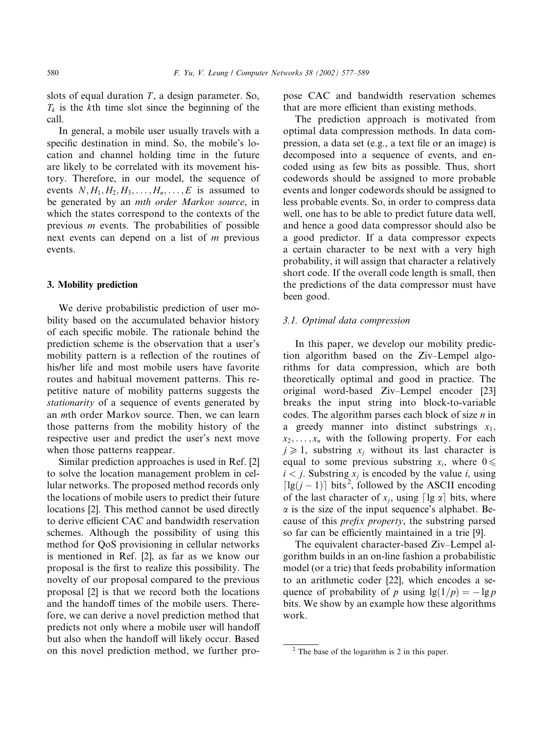slots of equal duration  $T$ , a design parameter. So,  $T_k$  is the kth time slot since the beginning of the call.

In general, a mobile user usually travels with a specific destination in mind. So, the mobile's location and channel holding time in the future are likely to be correlated with its movement history. Therefore, in our model, the sequence of events  $N, H_1, H_2, H_3, \ldots, H_n, \ldots, E$  is assumed to be generated by an mth order Markov source, in which the states correspond to the contexts of the previous  $m$  events. The probabilities of possible next events can depend on a list of m previous events.

# 3. Mobility prediction

We derive probabilistic prediction of user mobility based on the accumulated behavior history of each specific mobile. The rationale behind the prediction scheme is the observation that a user's mobility pattern is a reflection of the routines of his/her life and most mobile users have favorite routes and habitual movement patterns. This repetitive nature of mobility patterns suggests the stationarity of a sequence of events generated by an mth order Markov source. Then, we can learn those patterns from the mobility history of the respective user and predict the user's next move when those patterns reappear.

Similar prediction approaches is used in Ref. [2] to solve the location management problem in cellular networks. The proposed method records only the locations of mobile users to predict their future locations [2]. This method cannot be used directly to derive efficient CAC and bandwidth reservation schemes. Although the possibility of using this method for QoS provisioning in cellular networks is mentioned in Ref. [2], as far as we know our proposal is the first to realize this possibility. The novelty of our proposal compared to the previous proposal [2] is that we record both the locations and the handoff times of the mobile users. Therefore, we can derive a novel prediction method that predicts not only where a mobile user will handoff but also when the handoff will likely occur. Based on this novel prediction method, we further propose CAC and bandwidth reservation schemes that are more efficient than existing methods.

The prediction approach is motivated from optimal data compression methods. In data compression, a data set (e.g., a text file or an image) is decomposed into a sequence of events, and encoded using as few bits as possible. Thus, short codewords should be assigned to more probable events and longer codewords should be assigned to less probable events. So, in order to compress data well, one has to be able to predict future data well, and hence a good data compressor should also be a good predictor. If a data compressor expects a certain character to be next with a very high probability, it will assign that character a relatively short code. If the overall code length is small, then the predictions of the data compressor must have been good.

## 3.1. Optimal data compression

In this paper, we develop our mobility prediction algorithm based on the Ziv–Lempel algorithms for data compression, which are both theoretically optimal and good in practice. The original word-based Ziv–Lempel encoder [23] breaks the input string into block-to-variable codes. The algorithm parses each block of size  $n$  in a greedy manner into distinct substrings  $x_1$ ,  $x_2, \ldots, x_n$  with the following property. For each  $j \geq 1$ , substring  $x_j$  without its last character is equal to some previous substring  $x_i$ , where  $0 \leq$  $i < j$ . Substring  $x_i$  is encoded by the value i, using  $\lceil \lg(j-1) \rceil$  bits<sup>2</sup>, followed by the ASCII encoding of the last character of  $x_i$ , using  $\lceil \lg \alpha \rceil$  bits, where  $\alpha$  is the size of the input sequence's alphabet. Because of this prefix property, the substring parsed so far can be efficiently maintained in a trie [9].

The equivalent character-based Ziv–Lempel algorithm builds in an on-line fashion a probabilistic model (or a trie) that feeds probability information to an arithmetic coder [22], which encodes a sequence of probability of p using  $\lg(1/p) = -\lg p$ bits. We show by an example how these algorithms work.

 $2$  The base of the logarithm is 2 in this paper.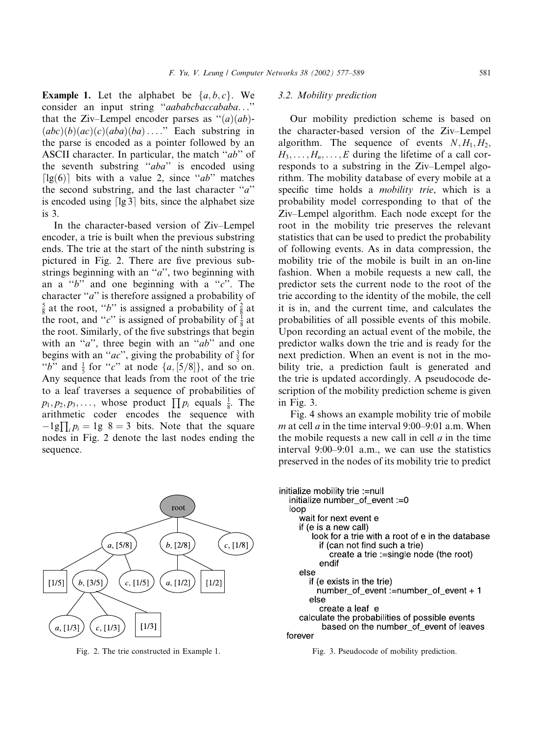**Example 1.** Let the alphabet be  $\{a, b, c\}$ . We consider an input string ''aababcbaccababa...'' that the Ziv–Lempel encoder parses as  $\cdot \cdot (a)(ab)$ - $(abc)(b)(ac)(c)(aba)(ba) \dots$ ." Each substring in the parse is encoded as a pointer followed by an ASCII character. In particular, the match "ab" of the seventh substring "aba" is encoded using [ $\lg(6)$ ] bits with a value 2, since "ab" matches the second substring, and the last character  $a$ is encoded using  $\lceil \lg 3 \rceil$  bits, since the alphabet size is 3.

In the character-based version of Ziv–Lempel encoder, a trie is built when the previous substring ends. The trie at the start of the ninth substring is pictured in Fig. 2. There are five previous substrings beginning with an " $a$ ", two beginning with an a  $b^{\prime\prime}$  and one beginning with a  $c^{\prime\prime}$ . The character " $a$ " is therefore assigned a probability of  $\frac{5}{8}$  at the root, "b" is assigned a probability of  $\frac{2}{8}$  at the root, and "*c*" is assigned of probability of  $\frac{1}{8}$  at the root. Similarly, of the five substrings that begin with an " $a$ ", three begin with an " $ab$ " and one begins with an "*ac*", giving the probability of  $\frac{3}{5}$  for "b" and  $\frac{1}{5}$  for "c" at node  $\{a, [5/8]\}$ , and so on. Any sequence that leads from the root of the trie to a leaf traverses a sequence of probabilities of  $p_1, p_2, p_3, \ldots$ , whose product  $\prod p_i$  equals  $\frac{1}{8}$ . The arithmetic coder encodes the sequence with  $-1g\prod_i p_i = 1g \ \ 8 = 3 \ \ \text{bits. Note that the square}$ nodes in Fig. 2 denote the last nodes ending the sequence.



Fig. 2. The trie constructed in Example 1. Fig. 3. Pseudocode of mobility prediction.

# 3.2. Mobility prediction

Our mobility prediction scheme is based on the character-based version of the Ziv–Lempel algorithm. The sequence of events  $N, H_1, H_2$ ,  $H_3, \ldots, H_n, \ldots, E$  during the lifetime of a call corresponds to a substring in the Ziv–Lempel algorithm. The mobility database of every mobile at a specific time holds a *mobility trie*, which is a probability model corresponding to that of the Ziv–Lempel algorithm. Each node except for the root in the mobility trie preserves the relevant statistics that can be used to predict the probability of following events. As in data compression, the mobility trie of the mobile is built in an on-line fashion. When a mobile requests a new call, the predictor sets the current node to the root of the trie according to the identity of the mobile, the cell it is in, and the current time, and calculates the probabilities of all possible events of this mobile. Upon recording an actual event of the mobile, the predictor walks down the trie and is ready for the next prediction. When an event is not in the mobility trie, a prediction fault is generated and the trie is updated accordingly. A pseudocode description of the mobility prediction scheme is given in Fig. 3.

Fig. 4 shows an example mobility trie of mobile *m* at cell *a* in the time interval 9:00–9:01 a.m. When the mobile requests a new call in cell  $a$  in the time interval 9:00–9:01 a.m., we can use the statistics preserved in the nodes of its mobility trie to predict

```
initialize mobility trie := null
 initialize number_of_event := 0
 loop
    wait for next event e
    if (e is a new call)
       look for a trie with a root of e in the database
         if (can not find such a trie)
            create a trie := single node (the root)
         endif
    else
       if (e exists in the trie)
         number_of_event :=number_of_event + 1
       else
         create a leaf e
    calculate the probabilities of possible events
          based on the number_of_event of leaves
forever
```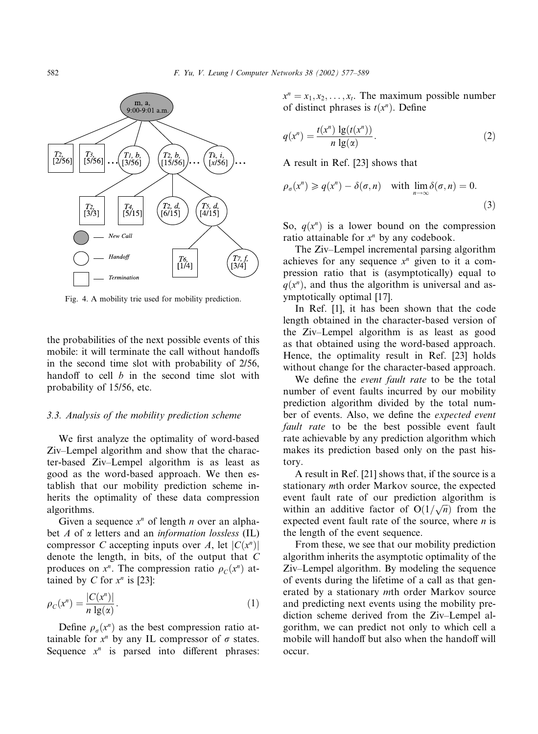

Fig. 4. A mobility trie used for mobility prediction.

the probabilities of the next possible events of this mobile: it will terminate the call without handoffs in the second time slot with probability of 2/56, handoff to cell  $b$  in the second time slot with probability of 15/56, etc.

## 3.3. Analysis of the mobility prediction scheme

We first analyze the optimality of word-based Ziv–Lempel algorithm and show that the character-based Ziv–Lempel algorithm is as least as good as the word-based approach. We then establish that our mobility prediction scheme inherits the optimality of these data compression algorithms.

Given a sequence  $x^n$  of length *n* over an alphabet A of  $\alpha$  letters and an *information lossless* (IL) compressor C accepting inputs over A, let  $|C(x^n)|$ denote the length, in bits, of the output that C produces on  $x^n$ . The compression ratio  $\rho_c(x^n)$  attained by C for  $x^n$  is [23]:

$$
\rho_C(x^n) = \frac{|C(x^n)|}{n \lg(\alpha)}.
$$
\n(1)

Define  $\rho_{\sigma}(x^n)$  as the best compression ratio attainable for  $x^n$  by any IL compressor of  $\sigma$  states. Sequence  $x^n$  is parsed into different phrases:  $x^n = x_1, x_2, \ldots, x_t$ . The maximum possible number of distinct phrases is  $t(x^n)$ . Define

$$
q(x^n) = \frac{t(x^n) \lg(t(x^n))}{n \lg(x)}.
$$
 (2)

A result in Ref. [23] shows that

$$
\rho_{\sigma}(x^n) \ge q(x^n) - \delta(\sigma, n) \quad \text{with } \lim_{n \to \infty} \delta(\sigma, n) = 0.
$$
\n(3)

So,  $q(x^n)$  is a lower bound on the compression ratio attainable for  $x^n$  by any codebook.

The Ziv–Lempel incremental parsing algorithm achieves for any sequence  $x^n$  given to it a compression ratio that is (asymptotically) equal to  $q(x^n)$ , and thus the algorithm is universal and asymptotically optimal [17].

In Ref. [1], it has been shown that the code length obtained in the character-based version of the Ziv–Lempel algorithm is as least as good as that obtained using the word-based approach. Hence, the optimality result in Ref. [23] holds without change for the character-based approach.

We define the *event fault rate* to be the total number of event faults incurred by our mobility prediction algorithm divided by the total number of events. Also, we define the expected event fault rate to be the best possible event fault rate achievable by any prediction algorithm which makes its prediction based only on the past history.

A result in Ref. [21] shows that, if the source is a stationary mth order Markov source, the expected event fault rate of our prediction algorithm is within an additive factor of  $O(1/\sqrt{n})$  from the expected event fault rate of the source, where  $n$  is the length of the event sequence.

From these, we see that our mobility prediction algorithm inherits the asymptotic optimality of the Ziv–Lempel algorithm. By modeling the sequence of events during the lifetime of a call as that generated by a stationary mth order Markov source and predicting next events using the mobility prediction scheme derived from the Ziv–Lempel algorithm, we can predict not only to which cell a mobile will handoff but also when the handoff will occur.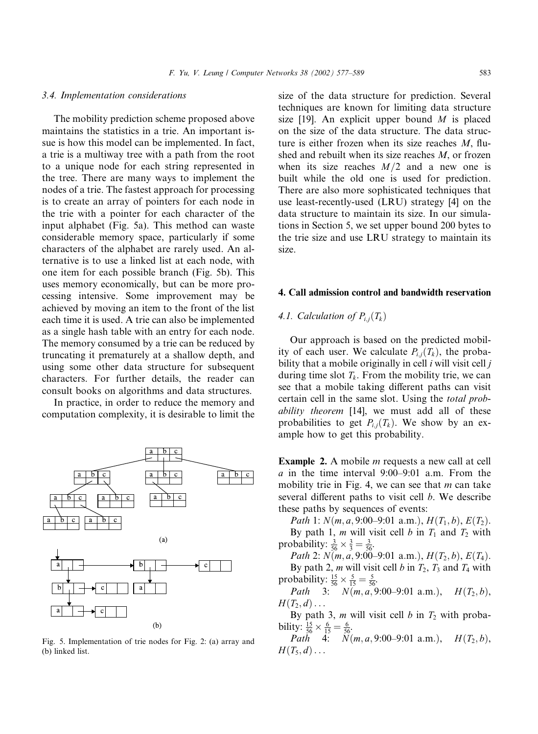#### 3.4. Implementation considerations

The mobility prediction scheme proposed above maintains the statistics in a trie. An important issue is how this model can be implemented. In fact, a trie is a multiway tree with a path from the root to a unique node for each string represented in the tree. There are many ways to implement the nodes of a trie. The fastest approach for processing is to create an array of pointers for each node in the trie with a pointer for each character of the input alphabet (Fig. 5a). This method can waste considerable memory space, particularly if some characters of the alphabet are rarely used. An alternative is to use a linked list at each node, with one item for each possible branch (Fig. 5b). This uses memory economically, but can be more processing intensive. Some improvement may be achieved by moving an item to the front of the list each time it is used. A trie can also be implemented as a single hash table with an entry for each node. The memory consumed by a trie can be reduced by truncating it prematurely at a shallow depth, and using some other data structure for subsequent characters. For further details, the reader can consult books on algorithms and data structures.

In practice, in order to reduce the memory and computation complexity, it is desirable to limit the



Fig. 5. Implementation of trie nodes for Fig. 2: (a) array and  $P$   $H$  ( $T$ <sub>5</sub>,  $d$ ) ...  $H$  ( $T$ <sub>5</sub>,  $d$ ) ... (b) linked list.

size of the data structure for prediction. Several techniques are known for limiting data structure size [19]. An explicit upper bound  $M$  is placed on the size of the data structure. The data structure is either frozen when its size reaches  $M$ , flushed and rebuilt when its size reaches  $M$ , or frozen when its size reaches  $M/2$  and a new one is built while the old one is used for prediction. There are also more sophisticated techniques that use least-recently-used (LRU) strategy [4] on the data structure to maintain its size. In our simulations in Section 5, we set upper bound 200 bytes to the trie size and use LRU strategy to maintain its size.

## 4. Call admission control and bandwidth reservation

# 4.1. Calculation of  $P_{i,i}(T_k)$

Our approach is based on the predicted mobility of each user. We calculate  $P_{i,j}(T_k)$ , the probability that a mobile originally in cell  $i$  will visit cell  $j$ during time slot  $T_k$ . From the mobility trie, we can see that a mobile taking different paths can visit certain cell in the same slot. Using the total probability theorem [14], we must add all of these probabilities to get  $P_{i,j}(T_k)$ . We show by an example how to get this probability.

Example 2. A mobile m requests a new call at cell a in the time interval 9:00–9:01 a.m. From the mobility trie in Fig. 4, we can see that  $m$  can take several different paths to visit cell b. We describe these paths by sequences of events:

Path 1:  $N(m, a, 9:00-9:01$  a.m.),  $H(T_1, b)$ ,  $E(T_2)$ .

By path 1, *m* will visit cell *b* in  $T_1$  and  $T_2$  with probability:  $\frac{3}{56} \times \frac{3}{3} = \frac{3}{56}$ .

Path 2:  $N(m, a, 9:00-9:01$  a.m.),  $H(T_2, b)$ ,  $E(T_4)$ . By path 2, *m* will visit cell *b* in  $T_2$ ,  $T_3$  and  $T_4$  with probability:  $\frac{15}{56} \times \frac{5}{15} = \frac{5}{56}$ .

Path 3:  $N(m, a, 9:00-9:01 \text{ a.m.}), \quad H(T_2, b),$  $H(T_2, d) \ldots$ 

By path 3, m will visit cell b in  $T_2$  with probability:  $\frac{15}{56} \times \frac{6}{15} = \frac{6}{56}$ .

*Path* 4:  $N(m, a, 9:00-9:01 \text{ a.m.}), \quad H(T_2, b),$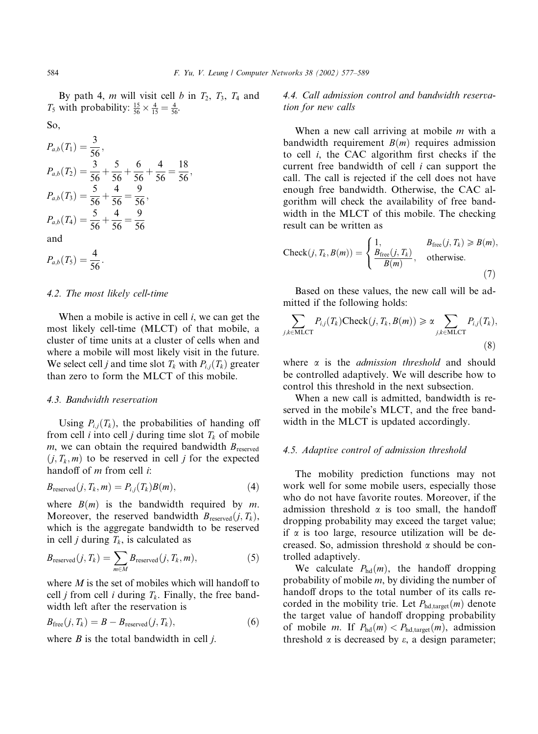By path 4, m will visit cell b in  $T_2$ ,  $T_3$ ,  $T_4$  and  $T_5$  with probability:  $\frac{15}{56} \times \frac{4}{15} = \frac{4}{56}$ .

$$
P_{a,b}(T_1) = \frac{3}{56},
$$
  
\n
$$
P_{a,b}(T_2) = \frac{3}{56} + \frac{5}{56} + \frac{6}{56} + \frac{4}{56} = \frac{18}{56},
$$
  
\n
$$
P_{a,b}(T_3) = \frac{5}{56} + \frac{4}{56} = \frac{9}{56},
$$
  
\n
$$
P_{a,b}(T_4) = \frac{5}{56} + \frac{4}{56} = \frac{9}{56}
$$
  
\nand  
\n
$$
P_{a,b}(T_5) = \frac{4}{56}.
$$

#### 4.2. The most likely cell-time

When a mobile is active in cell  $i$ , we can get the most likely cell-time (MLCT) of that mobile, a cluster of time units at a cluster of cells when and where a mobile will most likely visit in the future. We select cell *j* and time slot  $T_k$  with  $P_{i,j}(T_k)$  greater than zero to form the MLCT of this mobile.

# 4.3. Bandwidth reservation

Using  $P_{i,j}(T_k)$ , the probabilities of handing off from cell *i* into cell *j* during time slot  $T_k$  of mobile  $m$ , we can obtain the required bandwidth  $B_{\text{reserve}}$  $(j, T_k, m)$  to be reserved in cell j for the expected handoff of  $m$  from cell  $i$ :

$$
B_{\text{reserved}}(j, T_k, m) = P_{i,j}(T_k)B(m), \qquad (4)
$$

where  $B(m)$  is the bandwidth required by m. Moreover, the reserved bandwidth  $B_{\text{reseved}}(j, T_k)$ , which is the aggregate bandwidth to be reserved in cell *j* during  $T_k$ , is calculated as

$$
B_{\text{reserved}}(j, T_k) = \sum_{m \in M} B_{\text{reserved}}(j, T_k, m), \tag{5}
$$

where  $M$  is the set of mobiles which will handoff to cell *j* from cell *i* during  $T_k$ . Finally, the free bandwidth left after the reservation is

$$
B_{\text{free}}(j, T_k) = B - B_{\text{reserved}}(j, T_k), \tag{6}
$$

where  $B$  is the total bandwidth in cell  $i$ .

4.4. Call admission control and bandwidth reservation for new calls

When a new call arriving at mobile  $m$  with a bandwidth requirement  $B(m)$  requires admission to cell i, the CAC algorithm first checks if the current free bandwidth of cell  $i$  can support the call. The call is rejected if the cell does not have enough free bandwidth. Otherwise, the CAC algorithm will check the availability of free bandwidth in the MLCT of this mobile. The checking result can be written as

Check(j, T<sub>k</sub>, B(m)) = 
$$
\begin{cases} 1, & B_{\text{free}}(j, T_k) \ge B(m), \\ \frac{B_{\text{free}}(j, T_k)}{B(m)}, & \text{otherwise.} \end{cases}
$$
(7)

Based on these values, the new call will be admitted if the following holds:

$$
\sum_{j,k \in \text{MLCT}} P_{i,j}(T_k) \text{Check}(j, T_k, B(m)) \ge \alpha \sum_{j,k \in \text{MLCT}} P_{i,j}(T_k),
$$
\n(8)

where  $\alpha$  is the *admission threshold* and should be controlled adaptively. We will describe how to control this threshold in the next subsection.

When a new call is admitted, bandwidth is reserved in the mobile's MLCT, and the free bandwidth in the MLCT is updated accordingly.

## 4.5. Adaptive control of admission threshold

The mobility prediction functions may not work well for some mobile users, especially those who do not have favorite routes. Moreover, if the admission threshold  $\alpha$  is too small, the handoff dropping probability may exceed the target value; if  $\alpha$  is too large, resource utilization will be decreased. So, admission threshold  $\alpha$  should be controlled adaptively.

We calculate  $P_{\text{hd}}(m)$ , the handoff dropping probability of mobile  $m$ , by dividing the number of handoff drops to the total number of its calls recorded in the mobility trie. Let  $P_{\text{hd,target}}(m)$  denote the target value of handoff dropping probability of mobile *m*. If  $P_{\text{hd}}(m) < P_{\text{hd,target}}(m)$ , admission threshold  $\alpha$  is decreased by  $\varepsilon$ , a design parameter;

So,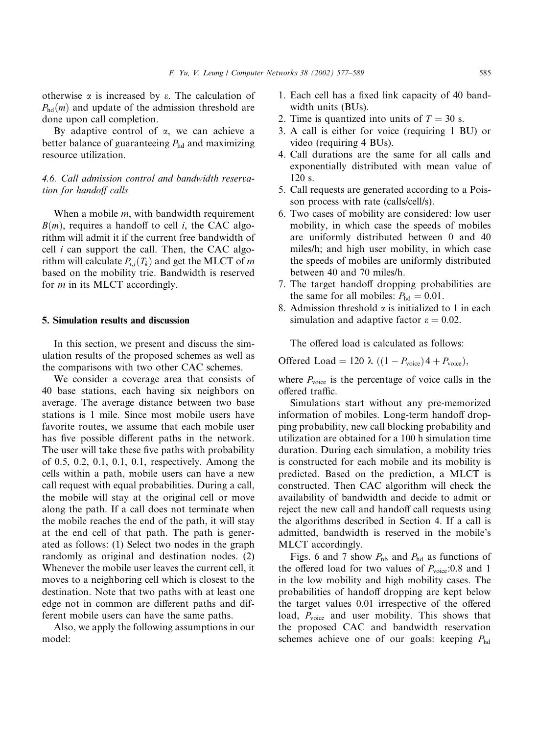otherwise  $\alpha$  is increased by  $\varepsilon$ . The calculation of  $P_{\text{hd}}(m)$  and update of the admission threshold are done upon call completion.

By adaptive control of  $\alpha$ , we can achieve a better balance of guaranteeing  $P_{\text{hd}}$  and maximizing resource utilization.

# 4.6. Call admission control and bandwidth reservation for handoff calls

When a mobile *m*, with bandwidth requirement  $B(m)$ , requires a handoff to cell i, the CAC algorithm will admit it if the current free bandwidth of cell  $i$  can support the call. Then, the CAC algorithm will calculate  $P_{i,j}(T_k)$  and get the MLCT of m based on the mobility trie. Bandwidth is reserved for *m* in its MLCT accordingly.

#### 5. Simulation results and discussion

In this section, we present and discuss the simulation results of the proposed schemes as well as the comparisons with two other CAC schemes.

We consider a coverage area that consists of 40 base stations, each having six neighbors on average. The average distance between two base stations is 1 mile. Since most mobile users have favorite routes, we assume that each mobile user has five possible different paths in the network. The user will take these five paths with probability of 0.5, 0.2, 0.1, 0.1, 0.1, respectively. Among the cells within a path, mobile users can have a new call request with equal probabilities. During a call, the mobile will stay at the original cell or move along the path. If a call does not terminate when the mobile reaches the end of the path, it will stay at the end cell of that path. The path is generated as follows: (1) Select two nodes in the graph randomly as original and destination nodes. (2) Whenever the mobile user leaves the current cell, it moves to a neighboring cell which is closest to the destination. Note that two paths with at least one edge not in common are different paths and different mobile users can have the same paths.

Also, we apply the following assumptions in our model:

- 1. Each cell has a fixed link capacity of 40 bandwidth units (BUs).
- 2. Time is quantized into units of  $T = 30$  s.
- 3. A call is either for voice (requiring 1 BU) or video (requiring 4 BUs).
- 4. Call durations are the same for all calls and exponentially distributed with mean value of 120 s.
- 5. Call requests are generated according to a Poisson process with rate (calls/cell/s).
- 6. Two cases of mobility are considered: low user mobility, in which case the speeds of mobiles are uniformly distributed between 0 and 40 miles/h; and high user mobility, in which case the speeds of mobiles are uniformly distributed between 40 and 70 miles/h.
- 7. The target handoff dropping probabilities are the same for all mobiles:  $P_{\text{hd}} = 0.01$ .
- 8. Admission threshold  $\alpha$  is initialized to 1 in each simulation and adaptive factor  $\varepsilon = 0.02$ .

The offered load is calculated as follows:

Offered Load = 120  $\lambda$  ((1 –  $P_{\text{voice}}$ ) 4 +  $P_{\text{voice}}$ ),

where  $P_{\text{voice}}$  is the percentage of voice calls in the offered traffic.

Simulations start without any pre-memorized information of mobiles. Long-term handoff dropping probability, new call blocking probability and utilization are obtained for a 100 h simulation time duration. During each simulation, a mobility tries is constructed for each mobile and its mobility is predicted. Based on the prediction, a MLCT is constructed. Then CAC algorithm will check the availability of bandwidth and decide to admit or reject the new call and handoff call requests using the algorithms described in Section 4. If a call is admitted, bandwidth is reserved in the mobile's MLCT accordingly.

Figs. 6 and 7 show  $P_{\text{nb}}$  and  $P_{\text{hd}}$  as functions of the offered load for two values of  $P_{\text{voice}}:0.8$  and 1 in the low mobility and high mobility cases. The probabilities of handoff dropping are kept below the target values 0.01 irrespective of the offered load,  $P_{\text{voice}}$  and user mobility. This shows that the proposed CAC and bandwidth reservation schemes achieve one of our goals: keeping  $P_{\text{hd}}$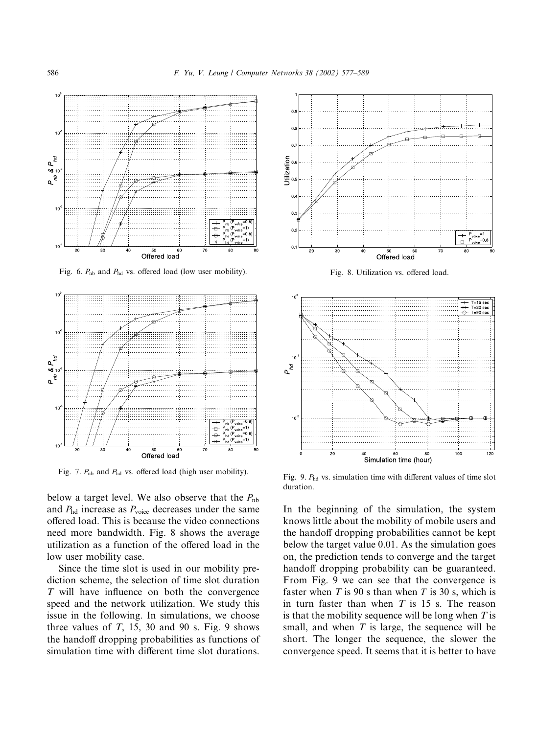

Fig. 6.  $P_{\text{nb}}$  and  $P_{\text{hd}}$  vs. offered load (low user mobility).



Fig. 7.  $P_{\text{nb}}$  and  $P_{\text{hd}}$  vs. offered load (high user mobility).

below a target level. We also observe that the  $P_{\text{nb}}$ and  $P_{\text{hd}}$  increase as  $P_{\text{voice}}$  decreases under the same offered load. This is because the video connections need more bandwidth. Fig. 8 shows the average utilization as a function of the offered load in the low user mobility case.

Since the time slot is used in our mobility prediction scheme, the selection of time slot duration T will have influence on both the convergence speed and the network utilization. We study this issue in the following. In simulations, we choose three values of  $T$ , 15, 30 and 90 s. Fig. 9 shows the handoff dropping probabilities as functions of simulation time with different time slot durations.



Fig. 8. Utilization vs. offered load.



Fig. 9.  $P_{\text{hd}}$  vs. simulation time with different values of time slot duration.

In the beginning of the simulation, the system knows little about the mobility of mobile users and the handoff dropping probabilities cannot be kept below the target value 0.01. As the simulation goes on, the prediction tends to converge and the target handoff dropping probability can be guaranteed. From Fig. 9 we can see that the convergence is faster when  $T$  is 90 s than when  $T$  is 30 s, which is in turn faster than when  $T$  is 15 s. The reason is that the mobility sequence will be long when  $T$  is small, and when  $T$  is large, the sequence will be short. The longer the sequence, the slower the convergence speed. It seems that it is better to have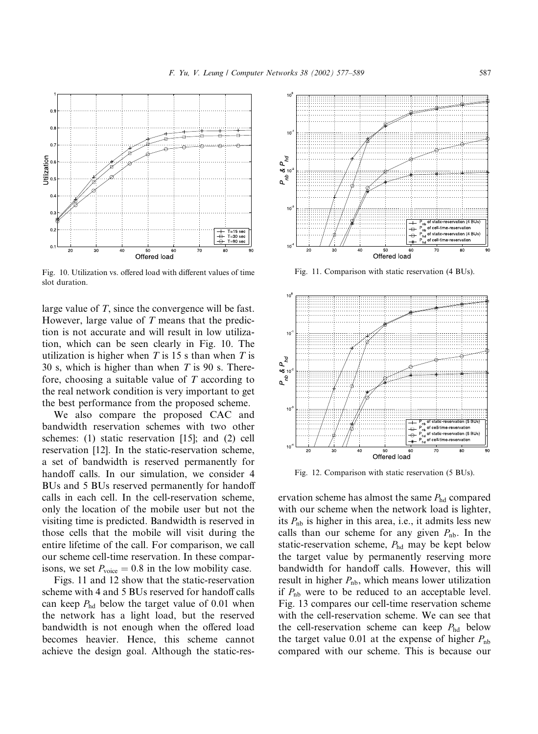

Fig. 10. Utilization vs. offered load with different values of time slot duration.

large value of T, since the convergence will be fast. However, large value of  $T$  means that the prediction is not accurate and will result in low utilization, which can be seen clearly in Fig. 10. The utilization is higher when  $T$  is 15 s than when  $T$  is 30 s, which is higher than when  $T$  is 90 s. Therefore, choosing a suitable value of  $T$  according to the real network condition is very important to get the best performance from the proposed scheme.

We also compare the proposed CAC and bandwidth reservation schemes with two other schemes: (1) static reservation [15]; and (2) cell reservation [12]. In the static-reservation scheme, a set of bandwidth is reserved permanently for handoff calls. In our simulation, we consider 4 BUs and 5 BUs reserved permanently for handoff calls in each cell. In the cell-reservation scheme, only the location of the mobile user but not the visiting time is predicted. Bandwidth is reserved in those cells that the mobile will visit during the entire lifetime of the call. For comparison, we call our scheme cell-time reservation. In these comparisons, we set  $P_{\text{voice}} = 0.8$  in the low mobility case.

Figs. 11 and 12 show that the static-reservation scheme with 4 and 5 BUs reserved for handoff calls can keep  $P_{\text{hd}}$  below the target value of 0.01 when the network has a light load, but the reserved bandwidth is not enough when the offered load becomes heavier. Hence, this scheme cannot achieve the design goal. Although the static-res-



Fig. 11. Comparison with static reservation (4 BUs).



Fig. 12. Comparison with static reservation (5 BUs).

ervation scheme has almost the same  $P_{\text{hd}}$  compared with our scheme when the network load is lighter, its  $P_{\text{nb}}$  is higher in this area, i.e., it admits less new calls than our scheme for any given  $P_{\rm nb}$ . In the static-reservation scheme,  $P_{\text{hd}}$  may be kept below the target value by permanently reserving more bandwidth for handoff calls. However, this will result in higher  $P_{\text{nb}}$ , which means lower utilization if  $P_{\rm nb}$  were to be reduced to an acceptable level. Fig. 13 compares our cell-time reservation scheme with the cell-reservation scheme. We can see that the cell-reservation scheme can keep  $P_{\text{hd}}$  below the target value 0.01 at the expense of higher  $P_{\text{nb}}$ compared with our scheme. This is because our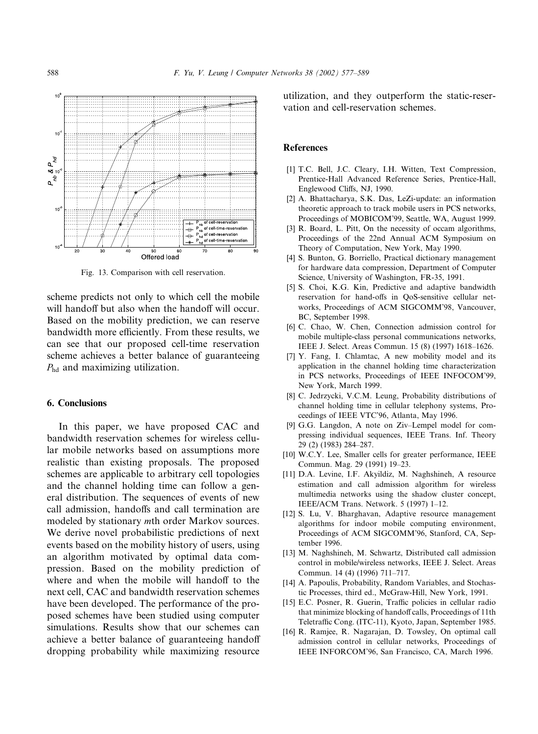

Fig. 13. Comparison with cell reservation.

scheme predicts not only to which cell the mobile will handoff but also when the handoff will occur. Based on the mobility prediction, we can reserve bandwidth more efficiently. From these results, we can see that our proposed cell-time reservation scheme achieves a better balance of guaranteeing  $P_{\text{hd}}$  and maximizing utilization.

# 6. Conclusions

In this paper, we have proposed CAC and bandwidth reservation schemes for wireless cellular mobile networks based on assumptions more realistic than existing proposals. The proposed schemes are applicable to arbitrary cell topologies and the channel holding time can follow a general distribution. The sequences of events of new call admission, handoffs and call termination are modeled by stationary mth order Markov sources. We derive novel probabilistic predictions of next events based on the mobility history of users, using an algorithm motivated by optimal data compression. Based on the mobility prediction of where and when the mobile will handoff to the next cell, CAC and bandwidth reservation schemes have been developed. The performance of the proposed schemes have been studied using computer simulations. Results show that our schemes can achieve a better balance of guaranteeing handoff dropping probability while maximizing resource utilization, and they outperform the static-reservation and cell-reservation schemes.

#### **References**

- [1] T.C. Bell, J.C. Cleary, I.H. Witten, Text Compression, Prentice-Hall Advanced Reference Series, Prentice-Hall, Englewood Cliffs, NJ, 1990.
- [2] A. Bhattacharya, S.K. Das, LeZi-update: an information theoretic approach to track mobile users in PCS networks, Proceedings of MOBICOM'99, Seattle, WA, August 1999.
- [3] R. Board, L. Pitt, On the necessity of occam algorithms, Proceedings of the 22nd Annual ACM Symposium on Theory of Computation, New York, May 1990.
- [4] S. Bunton, G. Borriello, Practical dictionary management for hardware data compression, Department of Computer Science, University of Washington, FR-35, 1991.
- [5] S. Choi, K.G. Kin, Predictive and adaptive bandwidth reservation for hand-offs in QoS-sensitive cellular networks, Proceedings of ACM SIGCOMM'98, Vancouver, BC, September 1998.
- [6] C. Chao, W. Chen, Connection admission control for mobile multiple-class personal communications networks, IEEE J. Select. Areas Commun. 15 (8) (1997) 1618–1626.
- [7] Y. Fang, I. Chlamtac, A new mobility model and its application in the channel holding time characterization in PCS networks, Proceedings of IEEE INFOCOM'99, New York, March 1999.
- [8] C. Jedrzycki, V.C.M. Leung, Probability distributions of channel holding time in cellular telephony systems, Proceedings of IEEE VTC'96, Atlanta, May 1996.
- [9] G.G. Langdon, A note on Ziv–Lempel model for compressing individual sequences, IEEE Trans. Inf. Theory 29 (2) (1983) 284–287.
- [10] W.C.Y. Lee, Smaller cells for greater performance, IEEE Commun. Mag. 29 (1991) 19–23.
- [11] D.A. Levine, I.F. Akyildiz, M. Naghshineh, A resource estimation and call admission algorithm for wireless multimedia networks using the shadow cluster concept, IEEE/ACM Trans. Network. 5 (1997) 1–12.
- [12] S. Lu, V. Bharghavan, Adaptive resource management algorithms for indoor mobile computing environment, Proceedings of ACM SIGCOMM'96, Stanford, CA, September 1996.
- [13] M. Naghshineh, M. Schwartz, Distributed call admission control in mobile/wireless networks, IEEE J. Select. Areas Commun. 14 (4) (1996) 711–717.
- [14] A. Papoulis, Probability, Random Variables, and Stochastic Processes, third ed., McGraw-Hill, New York, 1991.
- [15] E.C. Posner, R. Guerin, Traffic policies in cellular radio that minimize blocking of handoff calls, Proceedings of 11th Teletraffic Cong. (ITC-11), Kyoto, Japan, September 1985.
- [16] R. Ramjee, R. Nagarajan, D. Towsley, On optimal call admission control in cellular networks, Proceedings of IEEE INFORCOM'96, San Francisco, CA, March 1996.